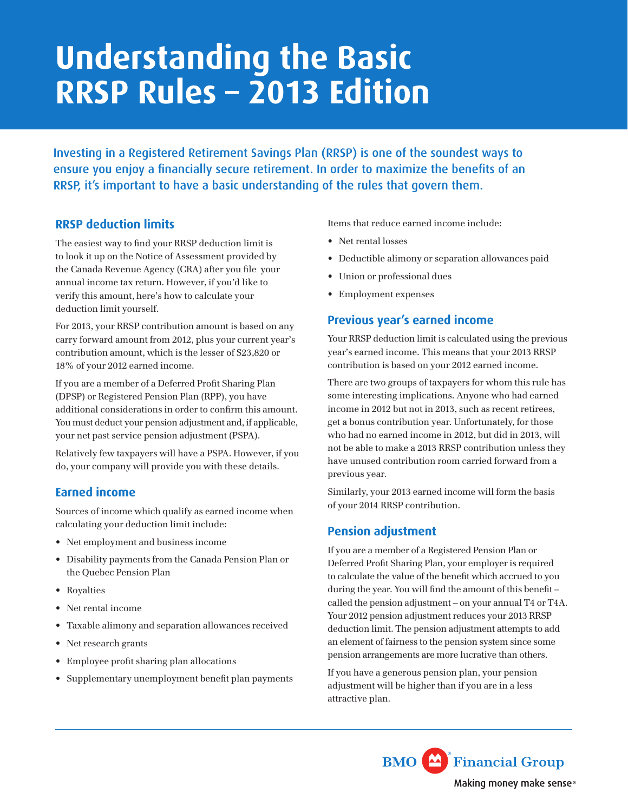# **Understanding the Basic RRSP Rules – 2013 Edition**

Investing in a Registered Retirement Savings Plan (RRSP) is one of the soundest ways to ensure you enjoy a financially secure retirement. In order to maximize the benefits of an RRSP, it's important to have a basic understanding of the rules that govern them.

## **RRSP deduction limits**

The easiest way to fnd your RRSP deduction limit is to look it up on the Notice of Assessment provided by the Canada Revenue Agency (CRA) after you fle your annual income tax return. However, if you'd like to verify this amount, here's how to calculate your deduction limit yourself.

For 2013, your RRSP contribution amount is based on any carry forward amount from 2012, plus your current year's contribution amount, which is the lesser of \$23,820 or 18% of your 2012 earned income.

If you are a member of a Deferred Proft Sharing Plan (DPSP) or Registered Pension Plan (RPP), you have additional considerations in order to confrm this amount. You must deduct your pension adjustment and, if applicable, your net past service pension adjustment (PSPA).

Relatively few taxpayers will have a PSPA. However, if you do, your company will provide you with these details.

## **Earned income**

Sources of income which qualify as earned income when calculating your deduction limit include:

- • Net employment and business income
- • Disability payments from the Canada Pension Plan or the Quebec Pension Plan
- • Royalties
- • Net rental income
- • Taxable alimony and separation allowances received
- Net research grants
- Employee profit sharing plan allocations
- • Supplementary unemployment benefit plan payments

Items that reduce earned income include:

- Net rental losses
- • Deductible alimony or separation allowances paid
- • Union or professional dues
- • Employment expenses

## **Previous year's earned income**

Your RRSP deduction limit is calculated using the previous year's earned income. This means that your 2013 RRSP contribution is based on your 2012 earned income.

There are two groups of taxpayers for whom this rule has some interesting implications. Anyone who had earned income in 2012 but not in 2013, such as recent retirees, get a bonus contribution year. Unfortunately, for those who had no earned income in 2012, but did in 2013, will not be able to make a 2013 RRSP contribution unless they have unused contribution room carried forward from a previous year.

Similarly, your 2013 earned income will form the basis of your 2014 RRSP contribution.

## **Pension adjustment**

If you are a member of a Registered Pension Plan or Deferred Proft Sharing Plan, your employer is required to calculate the value of the beneft which accrued to you during the year. You will fnd the amount of this beneft – called the pension adjustment – on your annual T4 or T4A. Your 2012 pension adjustment reduces your 2013 RRSP deduction limit. The pension adjustment attempts to add an element of fairness to the pension system since some pension arrangements are more lucrative than others.

If you have a generous pension plan, your pension adjustment will be higher than if you are in a less attractive plan.

> **BMO** Financial Group Making money make sense®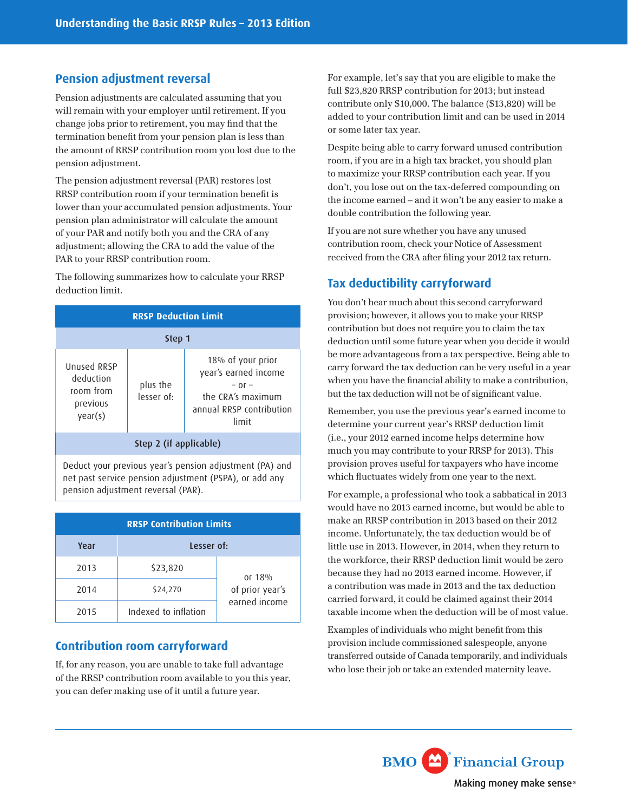#### **Pension adjustment reversal**

Pension adjustments are calculated assuming that you will remain with your employer until retirement. If you change jobs prior to retirement, you may fnd that the termination beneft from your pension plan is less than the amount of RRSP contribution room you lost due to the pension adjustment.

The pension adjustment reversal (PAR) restores lost RRSP contribution room if your termination beneft is lower than your accumulated pension adjustments. Your pension plan administrator will calculate the amount of your PAR and notify both you and the CRA of any adjustment; allowing the CRA to add the value of the PAR to your RRSP contribution room.

The following summarizes how to calculate your RRSP deduction limit.

| <b>RRSP Deduction Limit</b>                                  |                        |                                                                                                                   |  |  |
|--------------------------------------------------------------|------------------------|-------------------------------------------------------------------------------------------------------------------|--|--|
| Step 1                                                       |                        |                                                                                                                   |  |  |
| Unused RRSP<br>deduction<br>room from<br>previous<br>year(s) | plus the<br>lesser of: | 18% of your prior<br>year's earned income<br>$-0$ r $-$<br>the CRA's maximum<br>annual RRSP contribution<br>limit |  |  |
| Step 2 (if applicable)                                       |                        |                                                                                                                   |  |  |

Deduct your previous year's pension adjustment (PA) and net past service pension adjustment (PSPA), or add any pension adjustment reversal (PAR).

| <b>RRSP Contribution Limits</b> |                      |                 |  |
|---------------------------------|----------------------|-----------------|--|
| Year                            | Lesser of:           |                 |  |
| 2013                            | \$23,820             | or $18%$        |  |
| 2014                            | \$24,270             | of prior year's |  |
| 2015                            | Indexed to inflation | earned income   |  |

#### **Contribution room carryforward**

If, for any reason, you are unable to take full advantage of the RRSP contribution room available to you this year, you can defer making use of it until a future year.

For example, let's say that you are eligible to make the full \$23,820 RRSP contribution for 2013; but instead contribute only \$10,000. The balance (\$13,820) will be added to your contribution limit and can be used in 2014 or some later tax year.

Despite being able to carry forward unused contribution room, if you are in a high tax bracket, you should plan to maximize your RRSP contribution each year. If you don't, you lose out on the tax-deferred compounding on the income earned – and it won't be any easier to make a double contribution the following year.

If you are not sure whether you have any unused contribution room, check your Notice of Assessment received from the CRA after fling your 2012 tax return.

## **Tax deductibility carryforward**

You don't hear much about this second carryforward provision; however, it allows you to make your RRSP contribution but does not require you to claim the tax deduction until some future year when you decide it would be more advantageous from a tax perspective. Being able to carry forward the tax deduction can be very useful in a year when you have the fnancial ability to make a contribution, but the tax deduction will not be of signifcant value.

Remember, you use the previous year's earned income to determine your current year's RRSP deduction limit (i.e., your 2012 earned income helps determine how much you may contribute to your RRSP for 2013). This provision proves useful for taxpayers who have income which fuctuates widely from one year to the next.

For example, a professional who took a sabbatical in 2013 would have no 2013 earned income, but would be able to make an RRSP contribution in 2013 based on their 2012 income. Unfortunately, the tax deduction would be of little use in 2013. However, in 2014, when they return to the workforce, their RRSP deduction limit would be zero because they had no 2013 earned income. However, if a contribution was made in 2013 and the tax deduction carried forward, it could be claimed against their 2014 taxable income when the deduction will be of most value.

Examples of individuals who might benefit from this provision include commissioned salespeople, anyone transferred outside of Canada temporarily, and individuals who lose their job or take an extended maternity leave.

> **BMO** Financial Group Making money make sense®